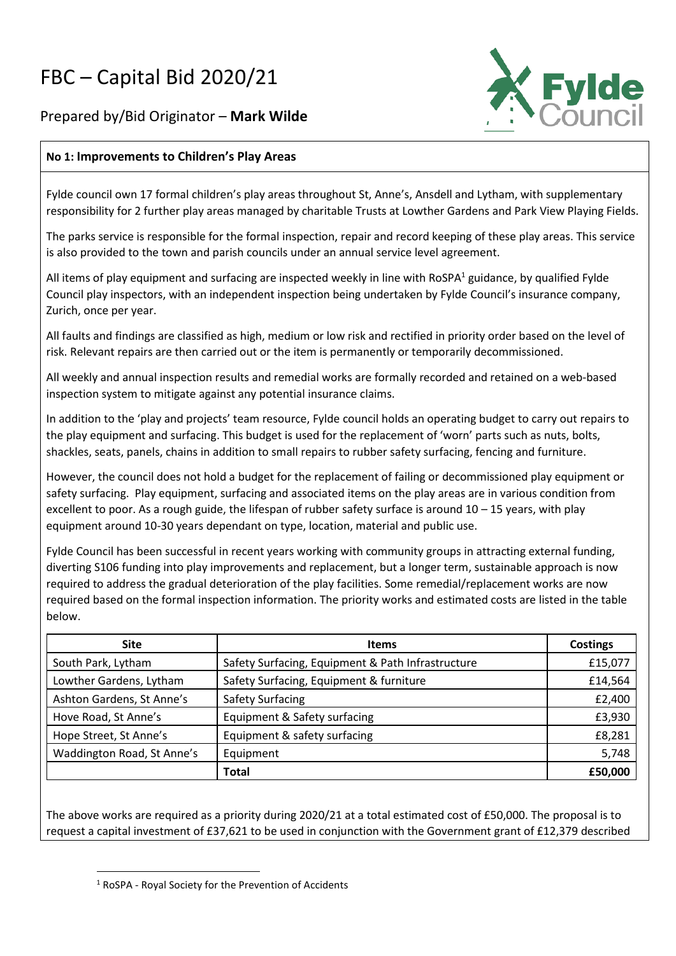## FBC – Capital Bid 2020/21

Prepared by/Bid Originator – **Mark Wilde**



## **No 1: Improvements to Children's Play Areas**

Fylde council own 17 formal children's play areas throughout St, Anne's, Ansdell and Lytham, with supplementary responsibility for 2 further play areas managed by charitable Trusts at Lowther Gardens and Park View Playing Fields.

The parks service is responsible for the formal inspection, repair and record keeping of these play areas. This service is also provided to the town and parish councils under an annual service level agreement.

All items of play equipment and surfacing are inspected weekly in line with RoSPA<sup>1</sup> guidance, by qualified Fylde Council play inspectors, with an independent inspection being undertaken by Fylde Council's insurance company, Zurich, once per year.

All faults and findings are classified as high, medium or low risk and rectified in priority order based on the level of risk. Relevant repairs are then carried out or the item is permanently or temporarily decommissioned.

All weekly and annual inspection results and remedial works are formally recorded and retained on a web-based inspection system to mitigate against any potential insurance claims.

In addition to the 'play and projects' team resource, Fylde council holds an operating budget to carry out repairs to the play equipment and surfacing. This budget is used for the replacement of 'worn' parts such as nuts, bolts, shackles, seats, panels, chains in addition to small repairs to rubber safety surfacing, fencing and furniture.

However, the council does not hold a budget for the replacement of failing or decommissioned play equipment or safety surfacing. Play equipment, surfacing and associated items on the play areas are in various condition from excellent to poor. As a rough guide, the lifespan of rubber safety surface is around  $10 - 15$  years, with play equipment around 10-30 years dependant on type, location, material and public use.

Fylde Council has been successful in recent years working with community groups in attracting external funding, diverting S106 funding into play improvements and replacement, but a longer term, sustainable approach is now required to address the gradual deterioration of the play facilities. Some remedial/replacement works are now required based on the formal inspection information. The priority works and estimated costs are listed in the table below.

| <b>Site</b>                | <b>Items</b>                                      | <b>Costings</b> |
|----------------------------|---------------------------------------------------|-----------------|
| South Park, Lytham         | Safety Surfacing, Equipment & Path Infrastructure | £15,077         |
| Lowther Gardens, Lytham    | Safety Surfacing, Equipment & furniture           | £14,564         |
| Ashton Gardens, St Anne's  | Safety Surfacing                                  | £2,400          |
| Hove Road, St Anne's       | Equipment & Safety surfacing                      | £3,930          |
| Hope Street, St Anne's     | Equipment & safety surfacing                      | £8,281          |
| Waddington Road, St Anne's | Equipment                                         | 5,748           |
|                            | Total                                             | £50,000         |

The above works are required as a priority during 2020/21 at a total estimated cost of £50,000. The proposal is to request a capital investment of £37,621 to be used in conjunction with the Government grant of £12,379 described

<sup>1</sup> RoSPA - Royal Society for the Prevention of Accidents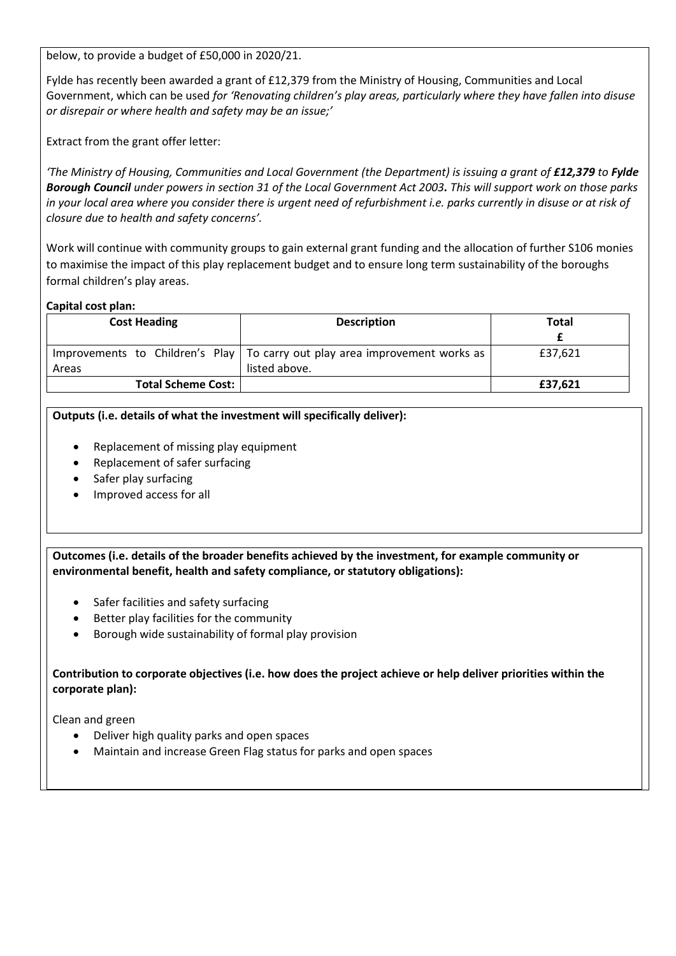below, to provide a budget of £50,000 in 2020/21.

Fylde has recently been awarded a grant of £12,379 from the Ministry of Housing, Communities and Local Government, which can be used *for 'Renovating children's play areas, particularly where they have fallen into disuse or disrepair or where health and safety may be an issue;'* 

Extract from the grant offer letter:

*'The Ministry of Housing, Communities and Local Government (the Department) is issuing a grant of £12,379 to Fylde Borough Council under powers in section 31 of the Local Government Act 2003. This will support work on those parks in your local area where you consider there is urgent need of refurbishment i.e. parks currently in disuse or at risk of closure due to health and safety concerns'.* 

Work will continue with community groups to gain external grant funding and the allocation of further S106 monies to maximise the impact of this play replacement budget and to ensure long term sustainability of the boroughs formal children's play areas.

## **Capital cost plan:**

| <b>Cost Heading</b>       | <b>Description</b>                                                            | Total   |
|---------------------------|-------------------------------------------------------------------------------|---------|
|                           |                                                                               |         |
|                           | Improvements to Children's Play   To carry out play area improvement works as | £37,621 |
| Areas                     | listed above.                                                                 |         |
| <b>Total Scheme Cost:</b> |                                                                               | £37,621 |

## **Outputs (i.e. details of what the investment will specifically deliver):**

- Replacement of missing play equipment
- Replacement of safer surfacing
- Safer play surfacing
- Improved access for all

**Outcomes (i.e. details of the broader benefits achieved by the investment, for example community or environmental benefit, health and safety compliance, or statutory obligations):**

- Safer facilities and safety surfacing
- Better play facilities for the community
- Borough wide sustainability of formal play provision

**Contribution to corporate objectives (i.e. how does the project achieve or help deliver priorities within the corporate plan):**

Clean and green

- Deliver high quality parks and open spaces
- Maintain and increase Green Flag status for parks and open spaces